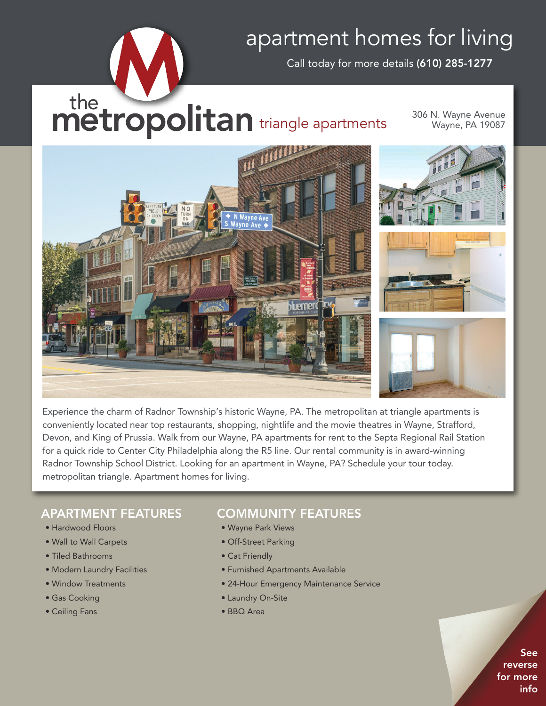## apartment homes for living

Call today for more details **(610) 285-1277**

# the **indetropolitan** triangle apartments

306 N. Wayne Avenue Wayne, PA 19087



Experience the charm of Radnor Township's historic Wayne, PA. The metropolitan at triangle apartments is conveniently located near top restaurants, shopping, nightlife and the movie theatres in Wayne, Strafford, Devon, and King of Prussia. Walk from our Wayne, PA apartments for rent to the Septa Regional Rail Station for a quick ride to Center City Philadelphia along the R5 line. Our rental community is in award-winning Radnor Township School District. Looking for an apartment in Wayne, PA? Schedule your tour today. metropolitan triangle. Apartment homes for living.

### **APARTMENT FEATURES**

- Hardwood Floors
- Wall to Wall Carpets
- Tiled Bathrooms
- Modern Laundry Facilities
- Window Treatments
- Gas Cooking
- Ceiling Fans

#### **COMMUNITY FEATURES**

- Wayne Park Views
- Off-Street Parking
- Cat Friendly
- Furnished Apartments Available
- 24-Hour Emergency Maintenance Service
- Laundry On-Site
- BBQ Area

**See reverse for more info**